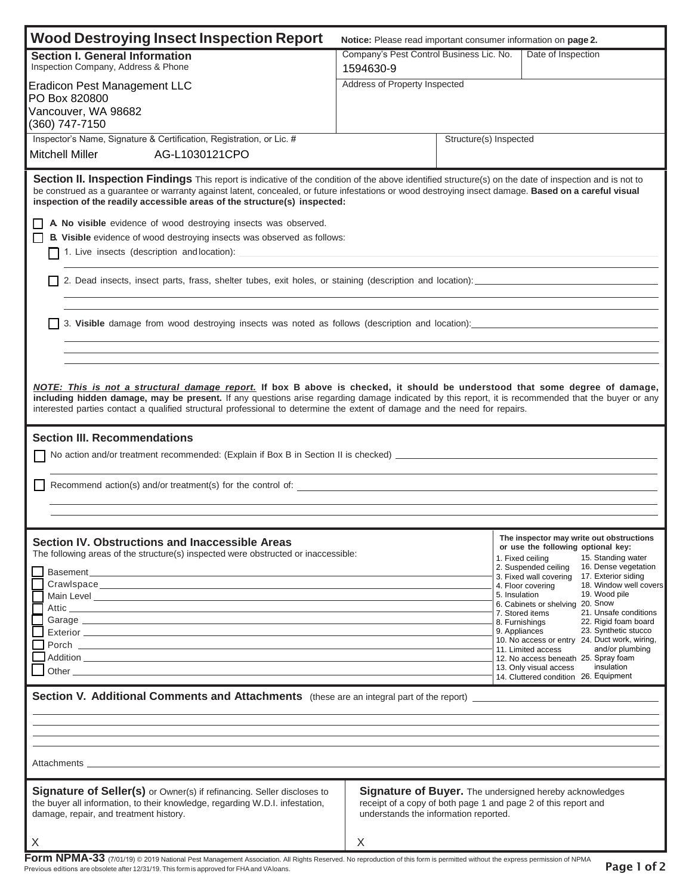| <b>Wood Destroying Insect Inspection Report</b><br>Notice: Please read important consumer information on page 2.                                                                                                                                                                                                                                                                                                 |                                                                               |                                                                                                                                                                           |                                                                                                                                                                                                                           |  |
|------------------------------------------------------------------------------------------------------------------------------------------------------------------------------------------------------------------------------------------------------------------------------------------------------------------------------------------------------------------------------------------------------------------|-------------------------------------------------------------------------------|---------------------------------------------------------------------------------------------------------------------------------------------------------------------------|---------------------------------------------------------------------------------------------------------------------------------------------------------------------------------------------------------------------------|--|
| <b>Section I. General Information</b><br>Inspection Company, Address & Phone                                                                                                                                                                                                                                                                                                                                     | 1594630-9                                                                     | Company's Pest Control Business Lic. No.<br>Date of Inspection<br>Address of Property Inspected                                                                           |                                                                                                                                                                                                                           |  |
| <b>Eradicon Pest Management LLC</b>                                                                                                                                                                                                                                                                                                                                                                              |                                                                               |                                                                                                                                                                           |                                                                                                                                                                                                                           |  |
| PO Box 820800<br>Vancouver, WA 98682                                                                                                                                                                                                                                                                                                                                                                             |                                                                               |                                                                                                                                                                           |                                                                                                                                                                                                                           |  |
| (360) 747-7150                                                                                                                                                                                                                                                                                                                                                                                                   |                                                                               |                                                                                                                                                                           |                                                                                                                                                                                                                           |  |
| Inspector's Name, Signature & Certification, Registration, or Lic. #<br>AG-L1030121CPO<br>Mitchell Miller                                                                                                                                                                                                                                                                                                        |                                                                               | Structure(s) Inspected                                                                                                                                                    |                                                                                                                                                                                                                           |  |
| Section II. Inspection Findings This report is indicative of the condition of the above identified structure(s) on the date of inspection and is not to<br>be construed as a guarantee or warranty against latent, concealed, or future infestations or wood destroying insect damage. Based on a careful visual<br>inspection of the readily accessible areas of the structure(s) inspected:                    |                                                                               |                                                                                                                                                                           |                                                                                                                                                                                                                           |  |
| A No visible evidence of wood destroying insects was observed.<br>l 1<br>B. Visible evidence of wood destroying insects was observed as follows:                                                                                                                                                                                                                                                                 |                                                                               |                                                                                                                                                                           |                                                                                                                                                                                                                           |  |
|                                                                                                                                                                                                                                                                                                                                                                                                                  |                                                                               |                                                                                                                                                                           |                                                                                                                                                                                                                           |  |
|                                                                                                                                                                                                                                                                                                                                                                                                                  |                                                                               |                                                                                                                                                                           |                                                                                                                                                                                                                           |  |
|                                                                                                                                                                                                                                                                                                                                                                                                                  |                                                                               |                                                                                                                                                                           |                                                                                                                                                                                                                           |  |
| NOTE: This is not a structural damage report. If box B above is checked, it should be understood that some degree of damage,<br>including hidden damage, may be present. If any questions arise regarding damage indicated by this report, it is recommended that the buyer or any<br>interested parties contact a qualified structural professional to determine the extent of damage and the need for repairs. |                                                                               |                                                                                                                                                                           |                                                                                                                                                                                                                           |  |
| <b>Section III. Recommendations</b>                                                                                                                                                                                                                                                                                                                                                                              |                                                                               |                                                                                                                                                                           |                                                                                                                                                                                                                           |  |
|                                                                                                                                                                                                                                                                                                                                                                                                                  |                                                                               |                                                                                                                                                                           |                                                                                                                                                                                                                           |  |
|                                                                                                                                                                                                                                                                                                                                                                                                                  |                                                                               |                                                                                                                                                                           |                                                                                                                                                                                                                           |  |
|                                                                                                                                                                                                                                                                                                                                                                                                                  |                                                                               |                                                                                                                                                                           |                                                                                                                                                                                                                           |  |
|                                                                                                                                                                                                                                                                                                                                                                                                                  |                                                                               |                                                                                                                                                                           |                                                                                                                                                                                                                           |  |
| Section IV. Obstructions and Inaccessible Areas<br>The following areas of the structure(s) inspected were obstructed or inaccessible:                                                                                                                                                                                                                                                                            |                                                                               |                                                                                                                                                                           | The inspector may write out obstructions<br>or use the following optional key:<br>1. Fixed ceiling<br>15. Standing water<br>2. Suspended ceiling<br>16. Dense vegetation<br>17. Exterior siding<br>3. Fixed wall covering |  |
| Main Level <u>example and the contract of the contract of the contract of the contract of the contract of the contract of the contract of the contract of the contract of the contract of the contract of the contract of the co</u>                                                                                                                                                                             |                                                                               | 5. Insulation                                                                                                                                                             | 18. Window well covers<br>4. Floor covering<br>19. Wood pile                                                                                                                                                              |  |
|                                                                                                                                                                                                                                                                                                                                                                                                                  |                                                                               |                                                                                                                                                                           | 6. Cabinets or shelving 20. Snow<br>21. Unsafe conditions<br>7. Stored items<br>22. Rigid foam board                                                                                                                      |  |
|                                                                                                                                                                                                                                                                                                                                                                                                                  |                                                                               | 8. Furnishings<br>9. Appliances                                                                                                                                           | 23. Synthetic stucco<br>10. No access or entry 24. Duct work, wiring,                                                                                                                                                     |  |
|                                                                                                                                                                                                                                                                                                                                                                                                                  | and/or plumbing<br>11. Limited access<br>12. No access beneath 25. Spray foam |                                                                                                                                                                           |                                                                                                                                                                                                                           |  |
| Other contracts are a set of the set of the set of the set of the set of the set of the set of the set of the set of the set of the set of the set of the set of the set of the set of the set of the set of the set of the se                                                                                                                                                                                   |                                                                               | insulation<br>13. Only visual access<br>14. Cluttered condition 26. Equipment                                                                                             |                                                                                                                                                                                                                           |  |
|                                                                                                                                                                                                                                                                                                                                                                                                                  |                                                                               |                                                                                                                                                                           |                                                                                                                                                                                                                           |  |
|                                                                                                                                                                                                                                                                                                                                                                                                                  |                                                                               |                                                                                                                                                                           |                                                                                                                                                                                                                           |  |
|                                                                                                                                                                                                                                                                                                                                                                                                                  |                                                                               |                                                                                                                                                                           |                                                                                                                                                                                                                           |  |
| Attachments <b>and the contract of the contract of the contract of the contract of the contract of the contract of the contract of the contract of the contract of the contract of the contract of the contract of the contract </b>                                                                                                                                                                             |                                                                               |                                                                                                                                                                           |                                                                                                                                                                                                                           |  |
| Signature of Seller(s) or Owner(s) if refinancing. Seller discloses to<br>the buyer all information, to their knowledge, regarding W.D.I. infestation,<br>damage, repair, and treatment history.                                                                                                                                                                                                                 |                                                                               | <b>Signature of Buyer.</b> The undersigned hereby acknowledges<br>receipt of a copy of both page 1 and page 2 of this report and<br>understands the information reported. |                                                                                                                                                                                                                           |  |
| X                                                                                                                                                                                                                                                                                                                                                                                                                | X                                                                             |                                                                                                                                                                           |                                                                                                                                                                                                                           |  |